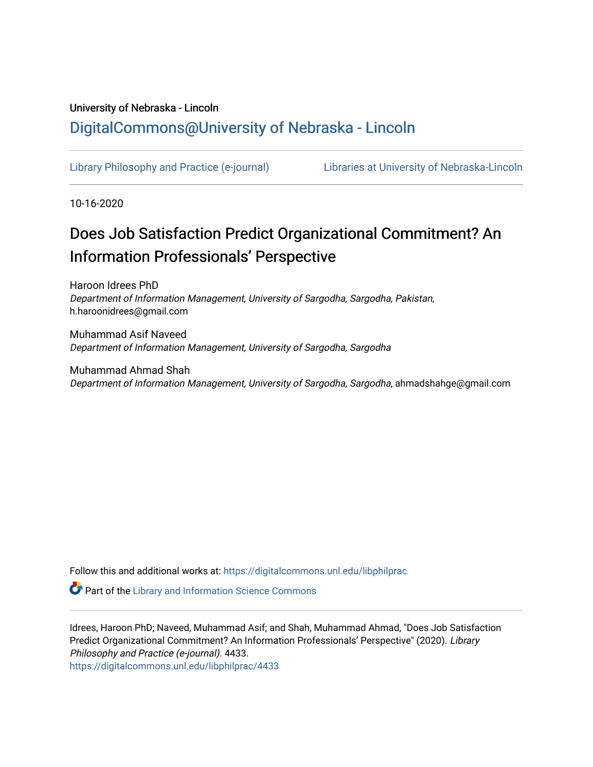## University of Nebraska - Lincoln [DigitalCommons@University of Nebraska - Lincoln](https://digitalcommons.unl.edu/)

[Library Philosophy and Practice \(e-journal\)](https://digitalcommons.unl.edu/libphilprac) [Libraries at University of Nebraska-Lincoln](https://digitalcommons.unl.edu/libraries) 

10-16-2020

# Does Job Satisfaction Predict Organizational Commitment? An Information Professionals' Perspective

Haroon Idrees PhD Department of Information Management, University of Sargodha, Sargodha, Pakistan, h.haroonidrees@gmail.com

Muhammad Asif Naveed Department of Information Management, University of Sargodha, Sargodha

Muhammad Ahmad Shah Department of Information Management, University of Sargodha, Sargodha, ahmadshahge@gmail.com

Follow this and additional works at: [https://digitalcommons.unl.edu/libphilprac](https://digitalcommons.unl.edu/libphilprac?utm_source=digitalcommons.unl.edu%2Flibphilprac%2F4433&utm_medium=PDF&utm_campaign=PDFCoverPages) 

**Part of the Library and Information Science Commons** 

Idrees, Haroon PhD; Naveed, Muhammad Asif; and Shah, Muhammad Ahmad, "Does Job Satisfaction Predict Organizational Commitment? An Information Professionals' Perspective" (2020). Library Philosophy and Practice (e-journal). 4433. [https://digitalcommons.unl.edu/libphilprac/4433](https://digitalcommons.unl.edu/libphilprac/4433?utm_source=digitalcommons.unl.edu%2Flibphilprac%2F4433&utm_medium=PDF&utm_campaign=PDFCoverPages)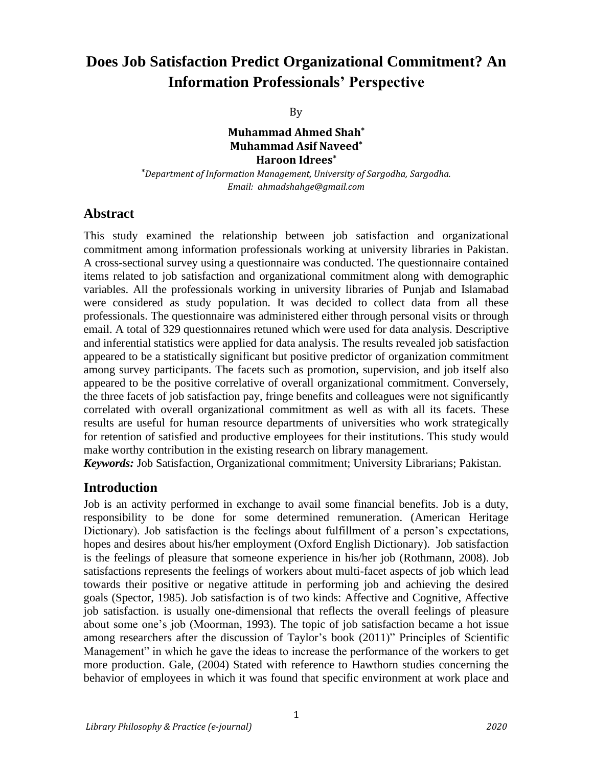# **Does Job Satisfaction Predict Organizational Commitment? An Information Professionals' Perspective**

By

#### **Muhammad Ahmed Shah\* Muhammad Asif Naveed\* Haroon Idrees\***

**\****Department of Information Management, University of Sargodha, Sargodha. Email: [ahmadshahge@gmail.com](mailto:ahmadshahge@gmail.com)*

#### **Abstract**

This study examined the relationship between job satisfaction and organizational commitment among information professionals working at university libraries in Pakistan. A cross-sectional survey using a questionnaire was conducted. The questionnaire contained items related to job satisfaction and organizational commitment along with demographic variables. All the professionals working in university libraries of Punjab and Islamabad were considered as study population. It was decided to collect data from all these professionals. The questionnaire was administered either through personal visits or through email. A total of 329 questionnaires retuned which were used for data analysis. Descriptive and inferential statistics were applied for data analysis. The results revealed job satisfaction appeared to be a statistically significant but positive predictor of organization commitment among survey participants. The facets such as promotion, supervision, and job itself also appeared to be the positive correlative of overall organizational commitment. Conversely, the three facets of job satisfaction pay, fringe benefits and colleagues were not significantly correlated with overall organizational commitment as well as with all its facets. These results are useful for human resource departments of universities who work strategically for retention of satisfied and productive employees for their institutions. This study would make worthy contribution in the existing research on library management.

*Keywords:* Job Satisfaction, Organizational commitment; University Librarians; Pakistan.

### **Introduction**

Job is an activity performed in exchange to avail some financial benefits. Job is a duty, responsibility to be done for some determined remuneration. (American Heritage Dictionary). Job satisfaction is the feelings about fulfillment of a person's expectations, hopes and desires about his/her employment (Oxford English Dictionary). Job satisfaction is the feelings of pleasure that someone experience in his/her job (Rothmann, 2008). Job satisfactions represents the feelings of workers about multi-facet aspects of job which lead towards their positive or negative attitude in performing job and achieving the desired goals (Spector, 1985). Job satisfaction is of two kinds: Affective and Cognitive, Affective job satisfaction. is usually one-dimensional that reflects the overall feelings of pleasure about some one's job (Moorman, 1993). The topic of job satisfaction became a hot issue among researchers after the discussion of Taylor's book (2011)" Principles of Scientific Management" in which he gave the ideas to increase the performance of the workers to get more production. Gale, (2004) Stated with reference to Hawthorn studies concerning the behavior of employees in which it was found that specific environment at work place and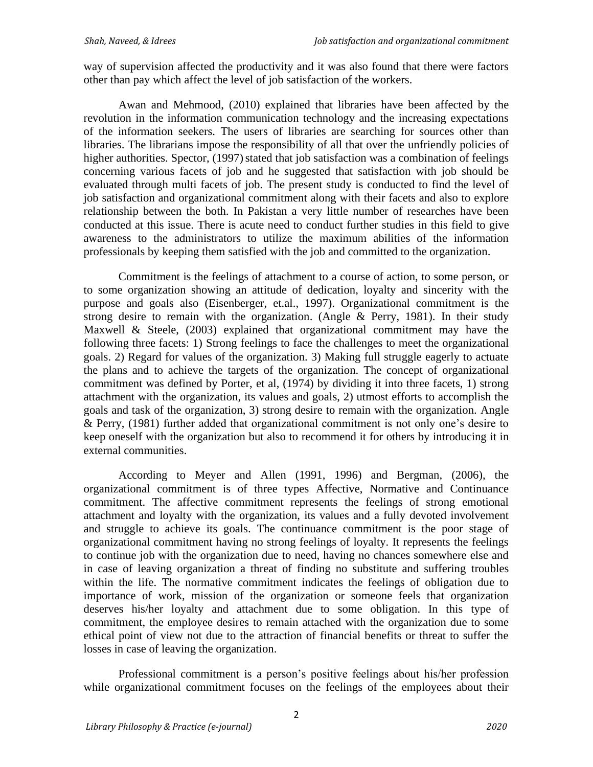way of supervision affected the productivity and it was also found that there were factors other than pay which affect the level of job satisfaction of the workers.

Awan and Mehmood, (2010) explained that libraries have been affected by the revolution in the information communication technology and the increasing expectations of the information seekers. The users of libraries are searching for sources other than libraries. The librarians impose the responsibility of all that over the unfriendly policies of higher authorities. Spector, (1997) stated that job satisfaction was a combination of feelings concerning various facets of job and he suggested that satisfaction with job should be evaluated through multi facets of job. The present study is conducted to find the level of job satisfaction and organizational commitment along with their facets and also to explore relationship between the both. In Pakistan a very little number of researches have been conducted at this issue. There is acute need to conduct further studies in this field to give awareness to the administrators to utilize the maximum abilities of the information professionals by keeping them satisfied with the job and committed to the organization.

Commitment is the feelings of attachment to a course of action, to some person, or to some organization showing an attitude of dedication, loyalty and sincerity with the purpose and goals also (Eisenberger, et.al., 1997). Organizational commitment is the strong desire to remain with the organization. (Angle  $\&$  Perry, 1981). In their study Maxwell & Steele, (2003) explained that organizational commitment may have the following three facets: 1) Strong feelings to face the challenges to meet the organizational goals. 2) Regard for values of the organization. 3) Making full struggle eagerly to actuate the plans and to achieve the targets of the organization. The concept of organizational commitment was defined by Porter, et al, (1974) by dividing it into three facets, 1) strong attachment with the organization, its values and goals, 2) utmost efforts to accomplish the goals and task of the organization, 3) strong desire to remain with the organization. Angle & Perry, (1981) further added that organizational commitment is not only one's desire to keep oneself with the organization but also to recommend it for others by introducing it in external communities.

According to Meyer and Allen (1991, 1996) and Bergman, (2006), the organizational commitment is of three types Affective, Normative and Continuance commitment. The affective commitment represents the feelings of strong emotional attachment and loyalty with the organization, its values and a fully devoted involvement and struggle to achieve its goals. The continuance commitment is the poor stage of organizational commitment having no strong feelings of loyalty. It represents the feelings to continue job with the organization due to need, having no chances somewhere else and in case of leaving organization a threat of finding no substitute and suffering troubles within the life. The normative commitment indicates the feelings of obligation due to importance of work, mission of the organization or someone feels that organization deserves his/her loyalty and attachment due to some obligation. In this type of commitment, the employee desires to remain attached with the organization due to some ethical point of view not due to the attraction of financial benefits or threat to suffer the losses in case of leaving the organization.

Professional commitment is a person's positive feelings about his/her profession while organizational commitment focuses on the feelings of the employees about their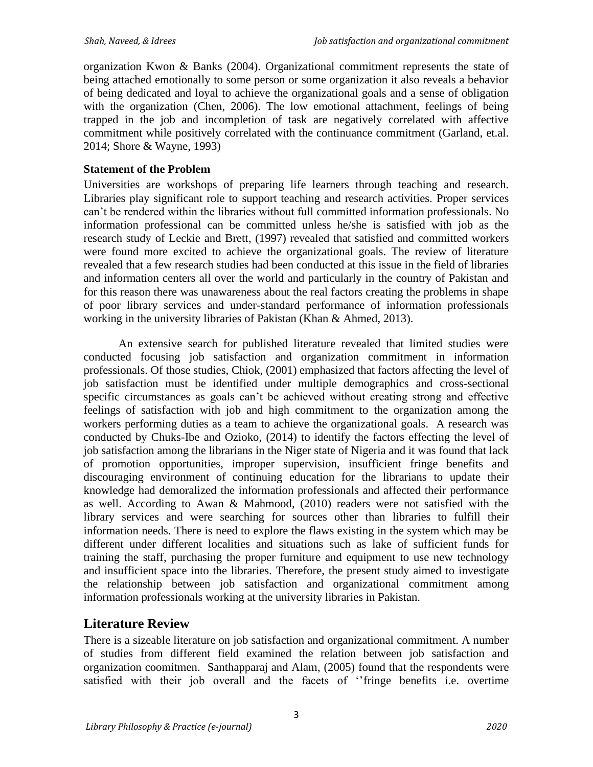organization Kwon & Banks (2004). Organizational commitment represents the state of being attached emotionally to some person or some organization it also reveals a behavior of being dedicated and loyal to achieve the organizational goals and a sense of obligation with the organization (Chen, 2006). The low emotional attachment, feelings of being trapped in the job and incompletion of task are negatively correlated with affective commitment while positively correlated with the continuance commitment (Garland, et.al. 2014; Shore & Wayne, 1993)

### **Statement of the Problem**

Universities are workshops of preparing life learners through teaching and research. Libraries play significant role to support teaching and research activities. Proper services can't be rendered within the libraries without full committed information professionals. No information professional can be committed unless he/she is satisfied with job as the research study of Leckie and Brett, (1997) revealed that satisfied and committed workers were found more excited to achieve the organizational goals. The review of literature revealed that a few research studies had been conducted at this issue in the field of libraries and information centers all over the world and particularly in the country of Pakistan and for this reason there was unawareness about the real factors creating the problems in shape of poor library services and under-standard performance of information professionals working in the university libraries of Pakistan (Khan & Ahmed, 2013).

An extensive search for published literature revealed that limited studies were conducted focusing job satisfaction and organization commitment in information professionals. Of those studies, Chiok, (2001) emphasized that factors affecting the level of job satisfaction must be identified under multiple demographics and cross-sectional specific circumstances as goals can't be achieved without creating strong and effective feelings of satisfaction with job and high commitment to the organization among the workers performing duties as a team to achieve the organizational goals. A research was conducted by Chuks-Ibe and Ozioko, (2014) to identify the factors effecting the level of job satisfaction among the librarians in the Niger state of Nigeria and it was found that lack of promotion opportunities, improper supervision, insufficient fringe benefits and discouraging environment of continuing education for the librarians to update their knowledge had demoralized the information professionals and affected their performance as well. According to Awan & Mahmood, (2010) readers were not satisfied with the library services and were searching for sources other than libraries to fulfill their information needs. There is need to explore the flaws existing in the system which may be different under different localities and situations such as lake of sufficient funds for training the staff, purchasing the proper furniture and equipment to use new technology and insufficient space into the libraries. Therefore, the present study aimed to investigate the relationship between job satisfaction and organizational commitment among information professionals working at the university libraries in Pakistan.

### **Literature Review**

There is a sizeable literature on job satisfaction and organizational commitment. A number of studies from different field examined the relation between job satisfaction and organization coomitmen. Santhapparaj and Alam, (2005) found that the respondents were satisfied with their job overall and the facets of ''fringe benefits i.e. overtime

3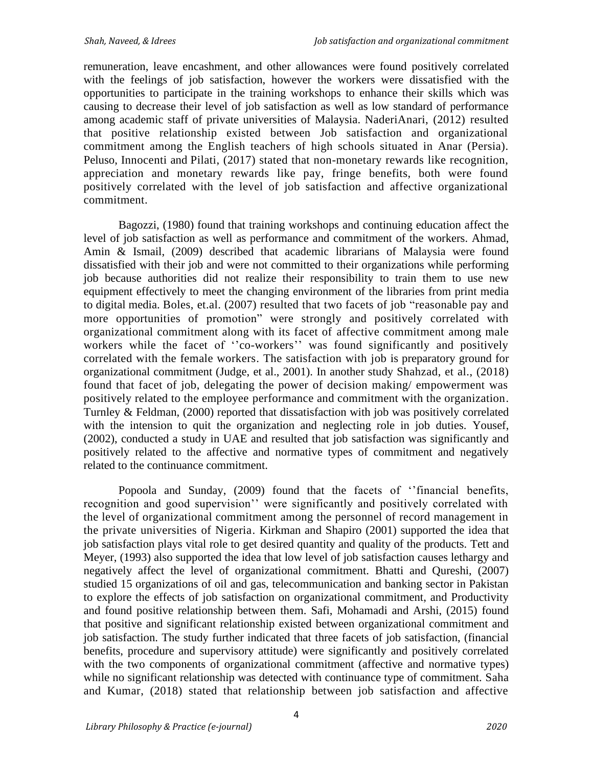remuneration, leave encashment, and other allowances were found positively correlated with the feelings of job satisfaction, however the workers were dissatisfied with the opportunities to participate in the training workshops to enhance their skills which was causing to decrease their level of job satisfaction as well as low standard of performance among academic staff of private universities of Malaysia. NaderiAnari, (2012) resulted that positive relationship existed between Job satisfaction and organizational commitment among the English teachers of high schools situated in Anar (Persia). Peluso, Innocenti and Pilati, (2017) stated that non-monetary rewards like recognition, appreciation and monetary rewards like pay, fringe benefits, both were found positively correlated with the level of job satisfaction and affective organizational commitment.

Bagozzi, (1980) found that training workshops and continuing education affect the level of job satisfaction as well as performance and commitment of the workers. Ahmad, Amin & Ismail, (2009) described that academic librarians of Malaysia were found dissatisfied with their job and were not committed to their organizations while performing job because authorities did not realize their responsibility to train them to use new equipment effectively to meet the changing environment of the libraries from print media to digital media. Boles, et.al. (2007) resulted that two facets of job "reasonable pay and more opportunities of promotion" were strongly and positively correlated with organizational commitment along with its facet of affective commitment among male workers while the facet of "co-workers" was found significantly and positively correlated with the female workers. The satisfaction with job is preparatory ground for organizational commitment (Judge, et al., 2001). In another study Shahzad, et al., (2018) found that facet of job, delegating the power of decision making/ empowerment was positively related to the employee performance and commitment with the organization. Turnley & Feldman, (2000) reported that dissatisfaction with job was positively correlated with the intension to quit the organization and neglecting role in job duties. Yousef, (2002), conducted a study in UAE and resulted that job satisfaction was significantly and positively related to the affective and normative types of commitment and negatively related to the continuance commitment.

Popoola and Sunday, (2009) found that the facets of ''financial benefits, recognition and good supervision'' were significantly and positively correlated with the level of organizational commitment among the personnel of record management in the private universities of Nigeria. Kirkman and Shapiro (2001) supported the idea that job satisfaction plays vital role to get desired quantity and quality of the products. Tett and Meyer, (1993) also supported the idea that low level of job satisfaction causes lethargy and negatively affect the level of organizational commitment. Bhatti and Qureshi, (2007) studied 15 organizations of oil and gas, telecommunication and banking sector in Pakistan to explore the effects of job satisfaction on organizational commitment, and Productivity and found positive relationship between them. Safi, Mohamadi and Arshi, (2015) found that positive and significant relationship existed between organizational commitment and job satisfaction. The study further indicated that three facets of job satisfaction, (financial benefits, procedure and supervisory attitude) were significantly and positively correlated with the two components of organizational commitment (affective and normative types) while no significant relationship was detected with continuance type of commitment. Saha and Kumar, (2018) stated that relationship between job satisfaction and affective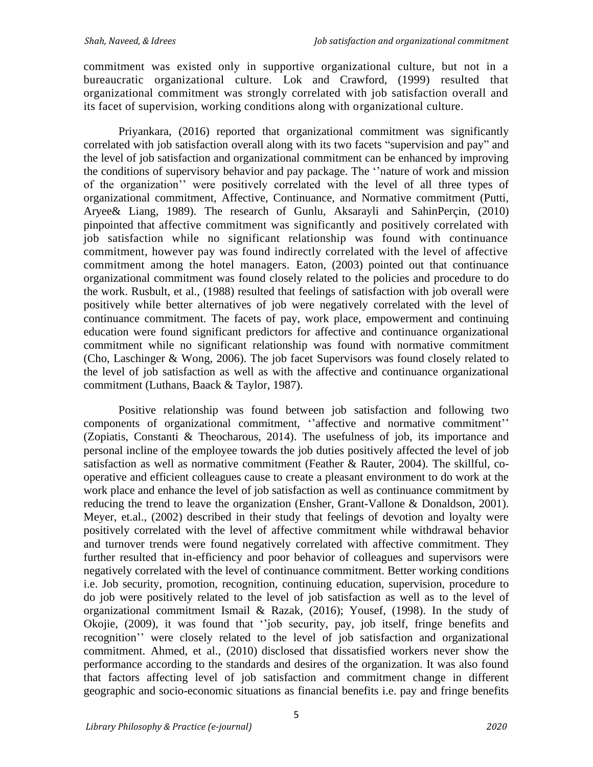commitment was existed only in supportive organizational culture, but not in a bureaucratic organizational culture. Lok and Crawford, (1999) resulted that organizational commitment was strongly correlated with job satisfaction overall and its facet of supervision, working conditions along with organizational culture.

Priyankara, (2016) reported that organizational commitment was significantly correlated with job satisfaction overall along with its two facets "supervision and pay" and the level of job satisfaction and organizational commitment can be enhanced by improving the conditions of supervisory behavior and pay package. The ''nature of work and mission of the organization'' were positively correlated with the level of all three types of organizational commitment, Affective, Continuance, and Normative commitment (Putti, Aryee& Liang, 1989). The research of Gunlu, Aksarayli and SahinPerçin, (2010) pinpointed that affective commitment was significantly and positively correlated with job satisfaction while no significant relationship was found with continuance commitment, however pay was found indirectly correlated with the level of affective commitment among the hotel managers. Eaton, (2003) pointed out that continuance organizational commitment was found closely related to the policies and procedure to do the work. Rusbult, et al., (1988) resulted that feelings of satisfaction with job overall were positively while better alternatives of job were negatively correlated with the level of continuance commitment. The facets of pay, work place, empowerment and continuing education were found significant predictors for affective and continuance organizational commitment while no significant relationship was found with normative commitment (Cho, Laschinger & Wong, 2006). The job facet Supervisors was found closely related to the level of job satisfaction as well as with the affective and continuance organizational commitment (Luthans, Baack & Taylor, 1987).

Positive relationship was found between job satisfaction and following two components of organizational commitment, ''affective and normative commitment'' (Zopiatis, Constanti & Theocharous, 2014). The usefulness of job, its importance and personal incline of the employee towards the job duties positively affected the level of job satisfaction as well as normative commitment (Feather & Rauter, 2004). The skillful, cooperative and efficient colleagues cause to create a pleasant environment to do work at the work place and enhance the level of job satisfaction as well as continuance commitment by reducing the trend to leave the organization (Ensher, Grant-Vallone & Donaldson, 2001). Meyer, et.al., (2002) described in their study that feelings of devotion and loyalty were positively correlated with the level of affective commitment while withdrawal behavior and turnover trends were found negatively correlated with affective commitment. They further resulted that in-efficiency and poor behavior of colleagues and supervisors were negatively correlated with the level of continuance commitment. Better working conditions i.e. Job security, promotion, recognition, continuing education, supervision, procedure to do job were positively related to the level of job satisfaction as well as to the level of organizational commitment Ismail & Razak, (2016); Yousef, (1998). In the study of Okojie, (2009), it was found that ''job security, pay, job itself, fringe benefits and recognition'' were closely related to the level of job satisfaction and organizational commitment. Ahmed, et al., (2010) disclosed that dissatisfied workers never show the performance according to the standards and desires of the organization. It was also found that factors affecting level of job satisfaction and commitment change in different geographic and socio-economic situations as financial benefits i.e. pay and fringe benefits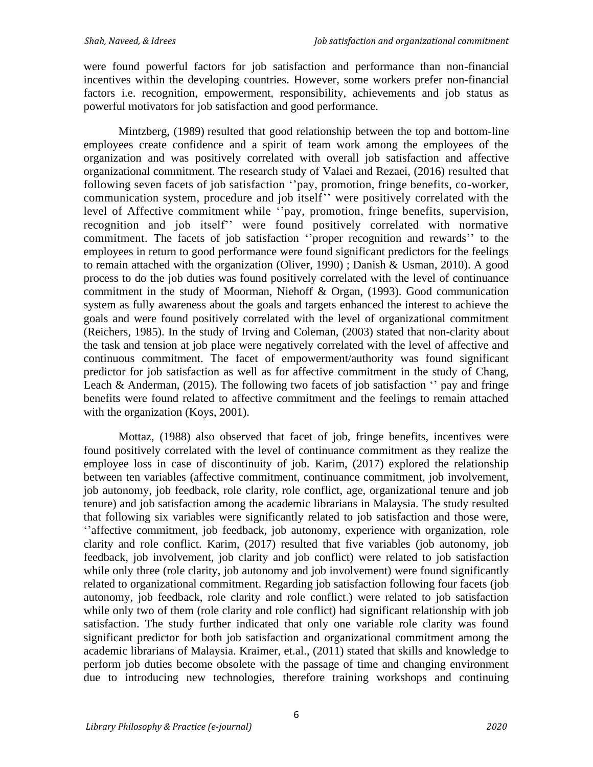were found powerful factors for job satisfaction and performance than non-financial incentives within the developing countries. However, some workers prefer non-financial factors i.e. recognition, empowerment, responsibility, achievements and job status as powerful motivators for job satisfaction and good performance.

Mintzberg, (1989) resulted that good relationship between the top and bottom-line employees create confidence and a spirit of team work among the employees of the organization and was positively correlated with overall job satisfaction and affective organizational commitment. The research study of Valaei and Rezaei, (2016) resulted that following seven facets of job satisfaction ''pay, promotion, fringe benefits, co-worker, communication system, procedure and job itself'' were positively correlated with the level of Affective commitment while ''pay, promotion, fringe benefits, supervision, recognition and job itself'' were found positively correlated with normative commitment. The facets of job satisfaction ''proper recognition and rewards'' to the employees in return to good performance were found significant predictors for the feelings to remain attached with the organization (Oliver, 1990) ; Danish & Usman, 2010). A good process to do the job duties was found positively correlated with the level of continuance commitment in the study of Moorman, Niehoff & Organ, (1993). Good communication system as fully awareness about the goals and targets enhanced the interest to achieve the goals and were found positively correlated with the level of organizational commitment (Reichers, 1985). In the study of Irving and Coleman, (2003) stated that non-clarity about the task and tension at job place were negatively correlated with the level of affective and continuous commitment. The facet of empowerment/authority was found significant predictor for job satisfaction as well as for affective commitment in the study of Chang, Leach & Anderman, (2015). The following two facets of job satisfaction  $\cdot$  pay and fringe benefits were found related to affective commitment and the feelings to remain attached with the organization (Koys, 2001).

Mottaz, (1988) also observed that facet of job, fringe benefits, incentives were found positively correlated with the level of continuance commitment as they realize the employee loss in case of discontinuity of job. Karim, (2017) explored the relationship between ten variables (affective commitment, continuance commitment, job involvement, job autonomy, job feedback, role clarity, role conflict, age, organizational tenure and job tenure) and job satisfaction among the academic librarians in Malaysia. The study resulted that following six variables were significantly related to job satisfaction and those were, ''affective commitment, job feedback, job autonomy, experience with organization, role clarity and role conflict. Karim, (2017) resulted that five variables (job autonomy, job feedback, job involvement, job clarity and job conflict) were related to job satisfaction while only three (role clarity, job autonomy and job involvement) were found significantly related to organizational commitment. Regarding job satisfaction following four facets (job autonomy, job feedback, role clarity and role conflict.) were related to job satisfaction while only two of them (role clarity and role conflict) had significant relationship with job satisfaction. The study further indicated that only one variable role clarity was found significant predictor for both job satisfaction and organizational commitment among the academic librarians of Malaysia. Kraimer, et.al., (2011) stated that skills and knowledge to perform job duties become obsolete with the passage of time and changing environment due to introducing new technologies, therefore training workshops and continuing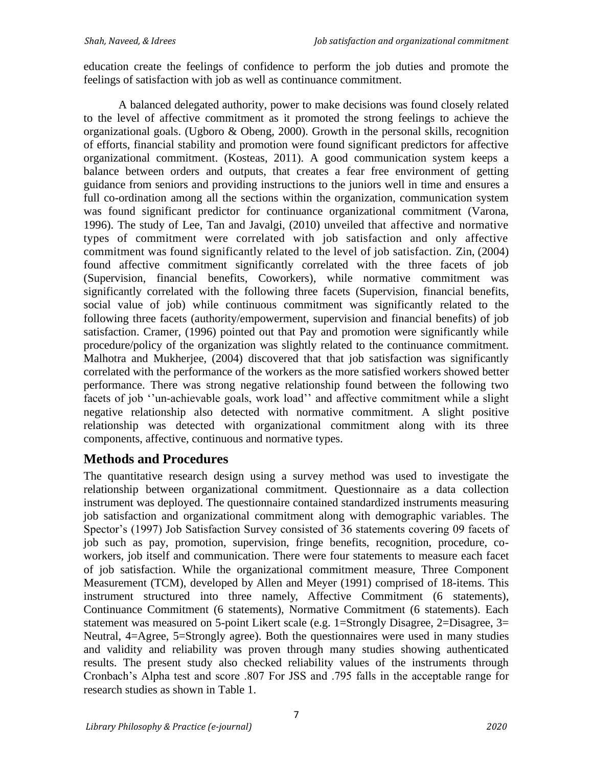education create the feelings of confidence to perform the job duties and promote the feelings of satisfaction with job as well as continuance commitment.

A balanced delegated authority, power to make decisions was found closely related to the level of affective commitment as it promoted the strong feelings to achieve the organizational goals. (Ugboro & Obeng, 2000). Growth in the personal skills, recognition of efforts, financial stability and promotion were found significant predictors for affective organizational commitment. (Kosteas, 2011). A good communication system keeps a balance between orders and outputs, that creates a fear free environment of getting guidance from seniors and providing instructions to the juniors well in time and ensures a full co-ordination among all the sections within the organization, communication system was found significant predictor for continuance organizational commitment (Varona, 1996). The study of Lee, Tan and Javalgi, (2010) unveiled that affective and normative types of commitment were correlated with job satisfaction and only affective commitment was found significantly related to the level of job satisfaction. Zin, (2004) found affective commitment significantly correlated with the three facets of job (Supervision, financial benefits, Coworkers), while normative commitment was significantly correlated with the following three facets (Supervision, financial benefits, social value of job) while continuous commitment was significantly related to the following three facets (authority/empowerment, supervision and financial benefits) of job satisfaction. Cramer, (1996) pointed out that Pay and promotion were significantly while procedure/policy of the organization was slightly related to the continuance commitment. Malhotra and Mukherjee, (2004) discovered that that job satisfaction was significantly correlated with the performance of the workers as the more satisfied workers showed better performance. There was strong negative relationship found between the following two facets of job ''un-achievable goals, work load'' and affective commitment while a slight negative relationship also detected with normative commitment. A slight positive relationship was detected with organizational commitment along with its three components, affective, continuous and normative types.

### **Methods and Procedures**

The quantitative research design using a survey method was used to investigate the relationship between organizational commitment. Questionnaire as a data collection instrument was deployed. The questionnaire contained standardized instruments measuring job satisfaction and organizational commitment along with demographic variables. The Spector's (1997) Job Satisfaction Survey consisted of 36 statements covering 09 facets of job such as pay, promotion, supervision, fringe benefits, recognition, procedure, coworkers, job itself and communication. There were four statements to measure each facet of job satisfaction. While the organizational commitment measure, Three Component Measurement (TCM), developed by Allen and Meyer (1991) comprised of 18-items. This instrument structured into three namely, Affective Commitment (6 statements), Continuance Commitment (6 statements), Normative Commitment (6 statements). Each statement was measured on 5-point Likert scale (e.g. 1=Strongly Disagree, 2=Disagree, 3= Neutral, 4=Agree, 5=Strongly agree). Both the questionnaires were used in many studies and validity and reliability was proven through many studies showing authenticated results. The present study also checked reliability values of the instruments through Cronbach's Alpha test and score .807 For JSS and .795 falls in the acceptable range for research studies as shown in Table 1.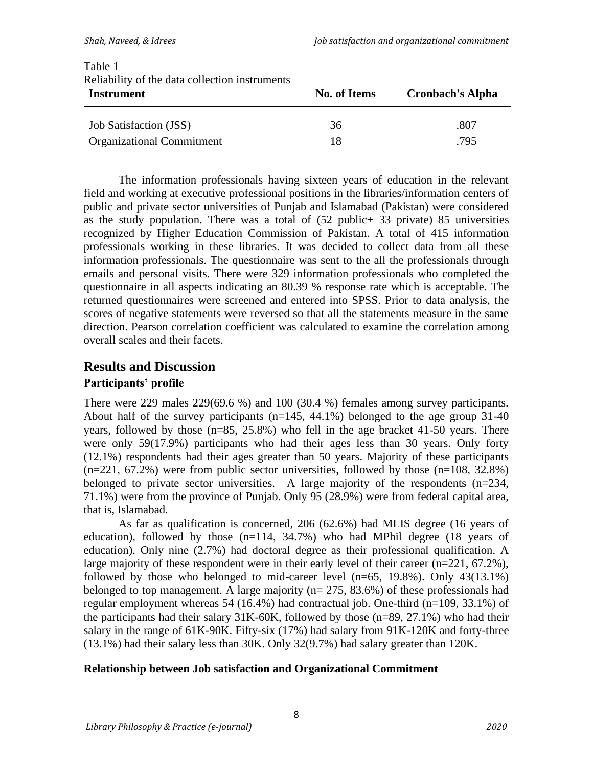| Reliability of the data collection instruments |                     |                         |  |  |  |  |
|------------------------------------------------|---------------------|-------------------------|--|--|--|--|
| <b>Instrument</b>                              | <b>No. of Items</b> | <b>Cronbach's Alpha</b> |  |  |  |  |
| <b>Job Satisfaction (JSS)</b>                  | 36                  | .807                    |  |  |  |  |
| <b>Organizational Commitment</b>               | 18                  | .795                    |  |  |  |  |

### Table 1 Reliability of the data collection instruments

The information professionals having sixteen years of education in the relevant field and working at executive professional positions in the libraries/information centers of public and private sector universities of Punjab and Islamabad (Pakistan) were considered as the study population. There was a total of (52 public+ 33 private) 85 universities recognized by Higher Education Commission of Pakistan. A total of 415 information professionals working in these libraries. It was decided to collect data from all these information professionals. The questionnaire was sent to the all the professionals through emails and personal visits. There were 329 information professionals who completed the questionnaire in all aspects indicating an 80.39 % response rate which is acceptable. The returned questionnaires were screened and entered into SPSS. Prior to data analysis, the scores of negative statements were reversed so that all the statements measure in the same direction. Pearson correlation coefficient was calculated to examine the correlation among overall scales and their facets.

### **Results and Discussion**

### **Participants' profile**

There were 229 males 229(69.6 %) and 100 (30.4 %) females among survey participants. About half of the survey participants (n=145, 44.1%) belonged to the age group 31-40 years, followed by those (n=85, 25.8%) who fell in the age bracket 41-50 years. There were only 59(17.9%) participants who had their ages less than 30 years. Only forty (12.1%) respondents had their ages greater than 50 years. Majority of these participants  $(n=221, 67.2%)$  were from public sector universities, followed by those  $(n=108, 32.8%)$ belonged to private sector universities. A large majority of the respondents (n=234, 71.1%) were from the province of Punjab. Only 95 (28.9%) were from federal capital area, that is, Islamabad.

As far as qualification is concerned, 206 (62.6%) had MLIS degree (16 years of education), followed by those (n=114, 34.7%) who had MPhil degree (18 years of education). Only nine (2.7%) had doctoral degree as their professional qualification. A large majority of these respondent were in their early level of their career (n=221, 67.2%), followed by those who belonged to mid-career level  $(n=65, 19.8\%)$ . Only  $43(13.1\%)$ belonged to top management. A large majority ( $n= 275, 83.6\%$ ) of these professionals had regular employment whereas 54 (16.4%) had contractual job. One-third (n=109, 33.1%) of the participants had their salary  $31K-60K$ , followed by those (n=89, 27.1%) who had their salary in the range of 61K-90K. Fifty-six (17%) had salary from 91K-120K and forty-three (13.1%) had their salary less than 30K. Only 32(9.7%) had salary greater than 120K.

### **Relationship between Job satisfaction and Organizational Commitment**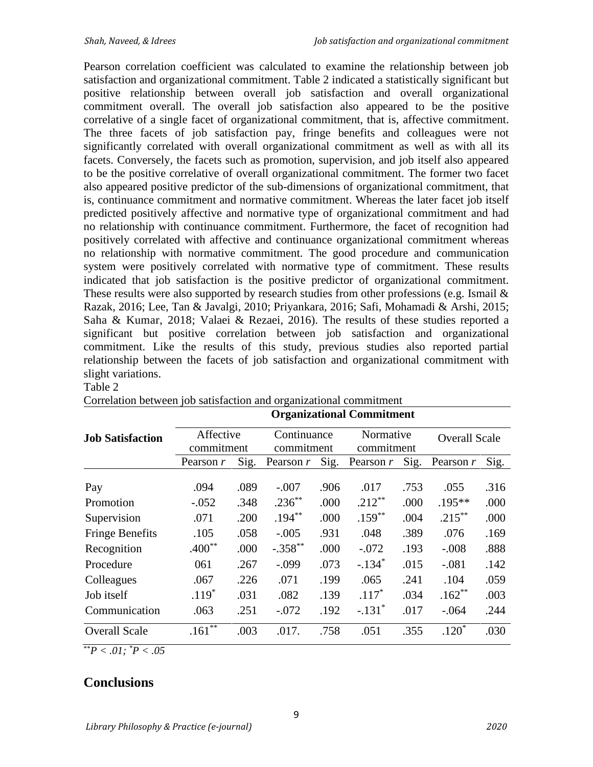Pearson correlation coefficient was calculated to examine the relationship between job satisfaction and organizational commitment. Table 2 indicated a statistically significant but positive relationship between overall job satisfaction and overall organizational commitment overall. The overall job satisfaction also appeared to be the positive correlative of a single facet of organizational commitment, that is, affective commitment. The three facets of job satisfaction pay, fringe benefits and colleagues were not significantly correlated with overall organizational commitment as well as with all its facets. Conversely, the facets such as promotion, supervision, and job itself also appeared to be the positive correlative of overall organizational commitment. The former two facet also appeared positive predictor of the sub-dimensions of organizational commitment, that is, continuance commitment and normative commitment. Whereas the later facet job itself predicted positively affective and normative type of organizational commitment and had no relationship with continuance commitment. Furthermore, the facet of recognition had positively correlated with affective and continuance organizational commitment whereas no relationship with normative commitment. The good procedure and communication system were positively correlated with normative type of commitment. These results indicated that job satisfaction is the positive predictor of organizational commitment. These results were also supported by research studies from other professions (e.g. Ismail  $\&$ Razak, 2016; Lee, Tan & Javalgi, 2010; Priyankara, 2016; Safi, Mohamadi & Arshi, 2015; Saha & Kumar, 2018; Valaei & Rezaei, 2016). The results of these studies reported a significant but positive correlation between job satisfaction and organizational commitment. Like the results of this study, previous studies also reported partial relationship between the facets of job satisfaction and organizational commitment with slight variations.

#### Table 2

|                         | <b>Organizational Commitment</b> |      |                           |      |                         |      |                      |      |
|-------------------------|----------------------------------|------|---------------------------|------|-------------------------|------|----------------------|------|
| <b>Job Satisfaction</b> | Affective<br>commitment          |      | Continuance<br>commitment |      | Normative<br>commitment |      | <b>Overall Scale</b> |      |
|                         | Pearson r                        | Sig. | Pearson $r$               | Sig. | Pearson $r$             | Sig. | Pearson $r$          | Sig. |
| Pay                     | .094                             | .089 | $-.007$                   | .906 | .017                    | .753 | .055                 | .316 |
| Promotion               | $-.052$                          | .348 | $.236^{**}$               | .000 | $.212***$               | .000 | $.195***$            | .000 |
| Supervision             | .071                             | .200 | $.194***$                 | .000 | $.159***$               | .004 | $.215***$            | .000 |
| <b>Fringe Benefits</b>  | .105                             | .058 | $-.005$                   | .931 | .048                    | .389 | .076                 | .169 |
| Recognition             | $.400**$                         | .000 | $-.358$ **                | .000 | $-.072$                 | .193 | $-.008$              | .888 |
| Procedure               | 061                              | .267 | $-.099$                   | .073 | $-.134*$                | .015 | $-.081$              | .142 |
| Colleagues              | .067                             | .226 | .071                      | .199 | .065                    | .241 | .104                 | .059 |
| Job itself              | $.119*$                          | .031 | .082                      | .139 | $.117*$                 | .034 | $.162**$             | .003 |
| Communication           | .063                             | .251 | $-.072$                   | .192 | $-.131$ <sup>*</sup>    | .017 | $-.064$              | .244 |
| <b>Overall Scale</b>    | .161                             | .003 | .017.                     | .758 | .051                    | .355 | $.120*$              | .030 |

Correlation between job satisfaction and organizational commitment

\*\**P < .01; \*P < .05*

### **Conclusions**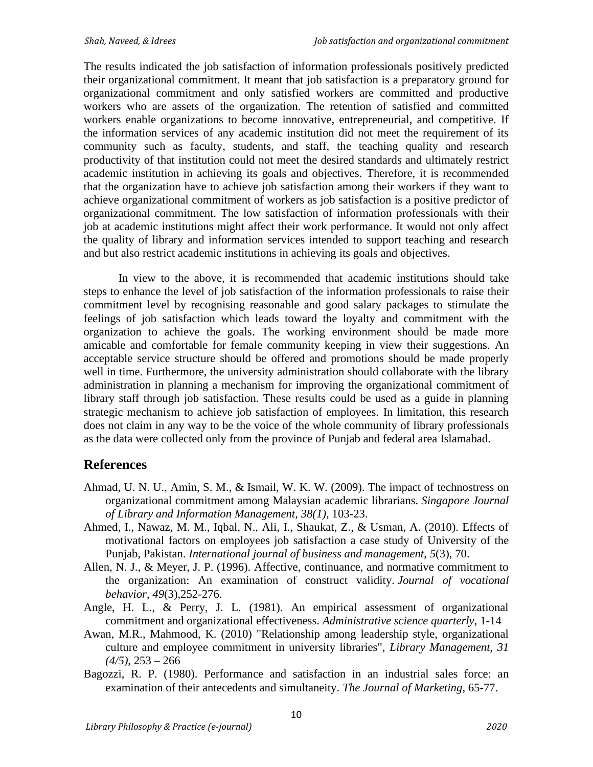The results indicated the job satisfaction of information professionals positively predicted their organizational commitment. It meant that job satisfaction is a preparatory ground for organizational commitment and only satisfied workers are committed and productive workers who are assets of the organization. The retention of satisfied and committed workers enable organizations to become innovative, entrepreneurial, and competitive. If the information services of any academic institution did not meet the requirement of its community such as faculty, students, and staff, the teaching quality and research productivity of that institution could not meet the desired standards and ultimately restrict academic institution in achieving its goals and objectives. Therefore, it is recommended that the organization have to achieve job satisfaction among their workers if they want to achieve organizational commitment of workers as job satisfaction is a positive predictor of organizational commitment. The low satisfaction of information professionals with their job at academic institutions might affect their work performance. It would not only affect the quality of library and information services intended to support teaching and research and but also restrict academic institutions in achieving its goals and objectives.

In view to the above, it is recommended that academic institutions should take steps to enhance the level of job satisfaction of the information professionals to raise their commitment level by recognising reasonable and good salary packages to stimulate the feelings of job satisfaction which leads toward the loyalty and commitment with the organization to achieve the goals. The working environment should be made more amicable and comfortable for female community keeping in view their suggestions. An acceptable service structure should be offered and promotions should be made properly well in time. Furthermore, the university administration should collaborate with the library administration in planning a mechanism for improving the organizational commitment of library staff through job satisfaction. These results could be used as a guide in planning strategic mechanism to achieve job satisfaction of employees. In limitation, this research does not claim in any way to be the voice of the whole community of library professionals as the data were collected only from the province of Punjab and federal area Islamabad.

### **References**

- Ahmad, U. N. U., Amin, S. M., & Ismail, W. K. W. (2009). The impact of technostress on organizational commitment among Malaysian academic librarians. *Singapore Journal of Library and Information Management*, *38(1)*, 103-23.
- Ahmed, I., Nawaz, M. M., Iqbal, N., Ali, I., Shaukat, Z., & Usman, A. (2010). Effects of motivational factors on employees job satisfaction a case study of University of the Punjab, Pakistan. *International journal of business and management*, *5*(3), 70.
- Allen, N. J., & Meyer, J. P. (1996). Affective, continuance, and normative commitment to the organization: An examination of construct validity. *Journal of vocational behavior*, *49*(3),252-276.
- Angle, H. L., & Perry, J. L. (1981). An empirical assessment of organizational commitment and organizational effectiveness. *Administrative science quarterly*, 1-14
- Awan, M.R., Mahmood, K. (2010) "Relationship among leadership style, organizational culture and employee commitment in university libraries", *Library Management, 31 (4/5),* 253 – 266
- Bagozzi, R. P. (1980). Performance and satisfaction in an industrial sales force: an examination of their antecedents and simultaneity. *The Journal of Marketing*, 65-77.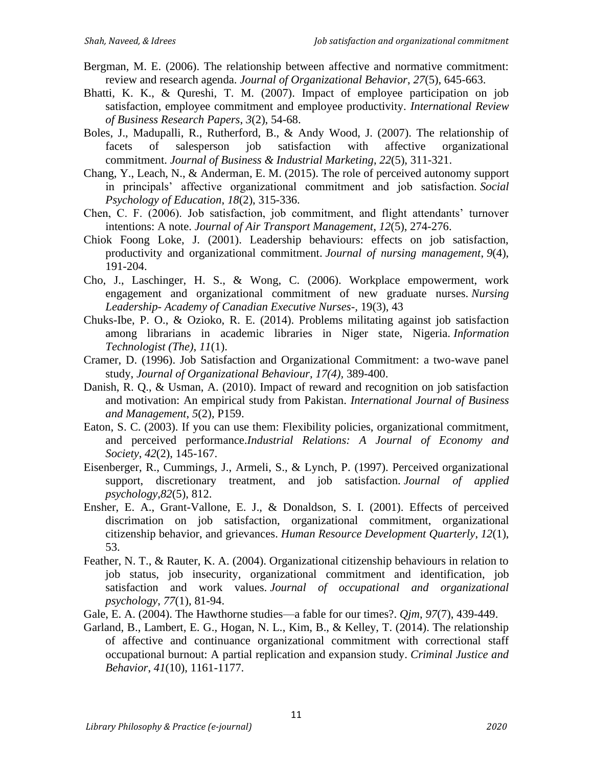- Bergman, M. E. (2006). The relationship between affective and normative commitment: review and research agenda. *Journal of Organizational Behavior*, *27*(5), 645-663.
- Bhatti, K. K., & Qureshi, T. M. (2007). Impact of employee participation on job satisfaction, employee commitment and employee productivity. *International Review of Business Research Papers*, *3*(2), 54-68.
- Boles, J., Madupalli, R., Rutherford, B., & Andy Wood, J. (2007). The relationship of facets of salesperson job satisfaction with affective organizational commitment. *Journal of Business & Industrial Marketing*, *22*(5), 311-321.
- Chang, Y., Leach, N., & Anderman, E. M. (2015). The role of perceived autonomy support in principals' affective organizational commitment and job satisfaction. *Social Psychology of Education*, *18*(2), 315-336.
- Chen, C. F. (2006). Job satisfaction, job commitment, and flight attendants' turnover intentions: A note. *Journal of Air Transport Management*, *12*(5), 274-276.
- Chiok Foong Loke, J. (2001). Leadership behaviours: effects on job satisfaction, productivity and organizational commitment. *Journal of nursing management*, *9*(4), 191-204.
- Cho, J., Laschinger, H. S., & Wong, C. (2006). Workplace empowerment, work engagement and organizational commitment of new graduate nurses. *Nursing Leadership- Academy of Canadian Executive Nurses-,* 19(3), 43
- Chuks-Ibe, P. O., & Ozioko, R. E. (2014). Problems militating against job satisfaction among librarians in academic libraries in Niger state, Nigeria. *Information Technologist (The)*, *11*(1).
- Cramer, D. (1996). Job Satisfaction and Organizational Commitment: a two-wave panel study, *Journal of Organizational Behaviour, 17(4),* 389-400.
- Danish, R. Q., & Usman, A. (2010). Impact of reward and recognition on job satisfaction and motivation: An empirical study from Pakistan. *International Journal of Business and Management*, *5*(2), P159.
- Eaton, S. C. (2003). If you can use them: Flexibility policies, organizational commitment, and perceived performance.*Industrial Relations: A Journal of Economy and Society*, *42*(2), 145-167.
- Eisenberger, R., Cummings, J., Armeli, S., & Lynch, P. (1997). Perceived organizational support, discretionary treatment, and job satisfaction. *Journal of applied psychology*,*82*(5), 812.
- Ensher, E. A., Grant-Vallone, E. J., & Donaldson, S. I. (2001). Effects of perceived discrimation on job satisfaction, organizational commitment, organizational citizenship behavior, and grievances. *Human Resource Development Quarterly*, *12*(1), 53.
- Feather, N. T., & Rauter, K. A. (2004). Organizational citizenship behaviours in relation to job status, job insecurity, organizational commitment and identification, job satisfaction and work values. *Journal of occupational and organizational psychology*, *77*(1), 81-94.
- Gale, E. A. (2004). The Hawthorne studies—a fable for our times?. *Qjm*, *97*(7), 439-449.
- Garland, B., Lambert, E. G., Hogan, N. L., Kim, B., & Kelley, T. (2014). The relationship of affective and continuance organizational commitment with correctional staff occupational burnout: A partial replication and expansion study. *Criminal Justice and Behavior*, *41*(10), 1161-1177.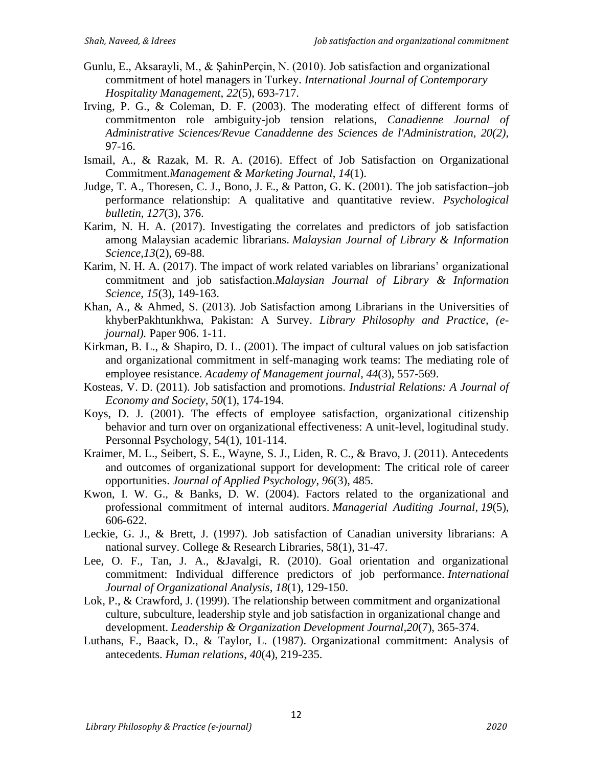- Gunlu, E., Aksarayli, M., & ŞahinPerçin, N. (2010). Job satisfaction and organizational commitment of hotel managers in Turkey. *International Journal of Contemporary Hospitality Management*, *22*(5), 693-717.
- Irving, P. G., & Coleman, D. F. (2003). The moderating effect of different forms of commitmenton role ambiguity-job tension relations, *Canadienne Journal of Administrative Sciences/Revue Canaddenne des Sciences de l'Administration, 20(2),*  97-16.
- Ismail, A., & Razak, M. R. A. (2016). Effect of Job Satisfaction on Organizational Commitment.*Management & Marketing Journal*, *14*(1).
- Judge, T. A., Thoresen, C. J., Bono, J. E., & Patton, G. K. (2001). The job satisfaction–job performance relationship: A qualitative and quantitative review. *Psychological bulletin*, *127*(3), 376.
- Karim, N. H. A. (2017). Investigating the correlates and predictors of job satisfaction among Malaysian academic librarians. *Malaysian Journal of Library & Information Science*,*13*(2), 69-88.
- Karim, N. H. A. (2017). The impact of work related variables on librarians' organizational commitment and job satisfaction.*Malaysian Journal of Library & Information Science*, *15*(3), 149-163.
- Khan, A., & Ahmed, S. (2013). Job Satisfaction among Librarians in the Universities of khyberPakhtunkhwa, Pakistan: A Survey. *Library Philosophy and Practice, (ejournal).* Paper 906. 1-11.
- Kirkman, B. L., & Shapiro, D. L. (2001). The impact of cultural values on job satisfaction and organizational commitment in self-managing work teams: The mediating role of employee resistance. *Academy of Management journal*, *44*(3), 557-569.
- Kosteas, V. D. (2011). Job satisfaction and promotions. *Industrial Relations: A Journal of Economy and Society*, *50*(1), 174-194.
- Koys, D. J. (2001). The effects of employee satisfaction, organizational citizenship behavior and turn over on organizational effectiveness: A unit-level, logitudinal study. Personnal Psychology, 54(1), 101-114.
- Kraimer, M. L., Seibert, S. E., Wayne, S. J., Liden, R. C., & Bravo, J. (2011). Antecedents and outcomes of organizational support for development: The critical role of career opportunities. *Journal of Applied Psychology*, *96*(3), 485.
- Kwon, I. W. G., & Banks, D. W. (2004). Factors related to the organizational and professional commitment of internal auditors. *Managerial Auditing Journal*, *19*(5), 606-622.
- Leckie, G. J., & Brett, J. (1997). Job satisfaction of Canadian university librarians: A national survey. College & Research Libraries, 58(1), 31-47.
- Lee, O. F., Tan, J. A., &Javalgi, R. (2010). Goal orientation and organizational commitment: Individual difference predictors of job performance. *International Journal of Organizational Analysis*, *18*(1), 129-150.
- Lok, P., & Crawford, J. (1999). The relationship between commitment and organizational culture, subculture, leadership style and job satisfaction in organizational change and development. *Leadership & Organization Development Journal*,*20*(7), 365-374.
- Luthans, F., Baack, D., & Taylor, L. (1987). Organizational commitment: Analysis of antecedents. *Human relations*, *40*(4), 219-235.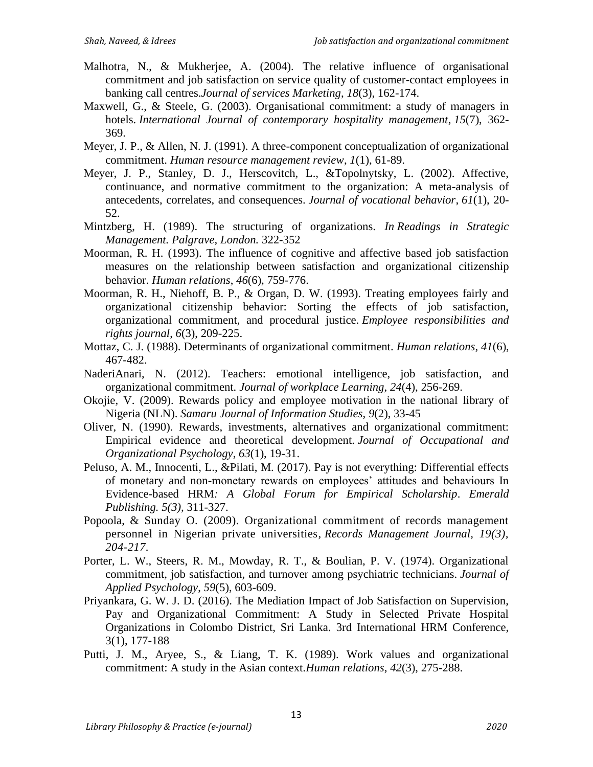- Malhotra, N., & Mukherjee, A. (2004). The relative influence of organisational commitment and job satisfaction on service quality of customer-contact employees in banking call centres.*Journal of services Marketing*, *18*(3), 162-174.
- Maxwell, G., & Steele, G. (2003). Organisational commitment: a study of managers in hotels. *International Journal of contemporary hospitality management*, *15*(7), 362- 369.
- Meyer, J. P., & Allen, N. J. (1991). A three-component conceptualization of organizational commitment. *Human resource management review*, *1*(1), 61-89.
- Meyer, J. P., Stanley, D. J., Herscovitch, L., &Topolnytsky, L. (2002). Affective, continuance, and normative commitment to the organization: A meta-analysis of antecedents, correlates, and consequences. *Journal of vocational behavior*, *61*(1), 20- 52.
- Mintzberg, H. (1989). The structuring of organizations. *In Readings in Strategic Management. Palgrave, London.* 322-352
- Moorman, R. H. (1993). The influence of cognitive and affective based job satisfaction measures on the relationship between satisfaction and organizational citizenship behavior. *Human relations*, *46*(6), 759-776.
- Moorman, R. H., Niehoff, B. P., & Organ, D. W. (1993). Treating employees fairly and organizational citizenship behavior: Sorting the effects of job satisfaction, organizational commitment, and procedural justice. *Employee responsibilities and rights journal*, *6*(3), 209-225.
- Mottaz, C. J. (1988). Determinants of organizational commitment. *Human relations*, *41*(6), 467-482.
- NaderiAnari, N. (2012). Teachers: emotional intelligence, job satisfaction, and organizational commitment. *Journal of workplace Learning*, *24*(4), 256-269.
- Okojie, V. (2009). Rewards policy and employee motivation in the national library of Nigeria (NLN). *Samaru Journal of Information Studies*, *9*(2), 33-45
- Oliver, N. (1990). Rewards, investments, alternatives and organizational commitment: Empirical evidence and theoretical development. *Journal of Occupational and Organizational Psychology*, *63*(1), 19-31.
- Peluso, A. M., Innocenti, L., &Pilati, M. (2017). Pay is not everything: Differential effects of monetary and non-monetary rewards on employees' attitudes and behaviours In Evidence-based HRM*: A Global Forum for Empirical Scholarship*. *Emerald Publishing. 5(3),* 311-327.
- Popoola, & Sunday O. (2009). Organizational commitment of records management personnel in Nigerian private universities*, Records Management Journal, 19(3), 204-217.*
- Porter, L. W., Steers, R. M., Mowday, R. T., & Boulian, P. V. (1974). Organizational commitment, job satisfaction, and turnover among psychiatric technicians. *Journal of Applied Psychology*, *59*(5), 603-609.
- Priyankara, G. W. J. D. (2016). The Mediation Impact of Job Satisfaction on Supervision, Pay and Organizational Commitment: A Study in Selected Private Hospital Organizations in Colombo District, Sri Lanka. 3rd International HRM Conference, 3(1), 177-188
- Putti, J. M., Aryee, S., & Liang, T. K. (1989). Work values and organizational commitment: A study in the Asian context.*Human relations*, *42*(3), 275-288.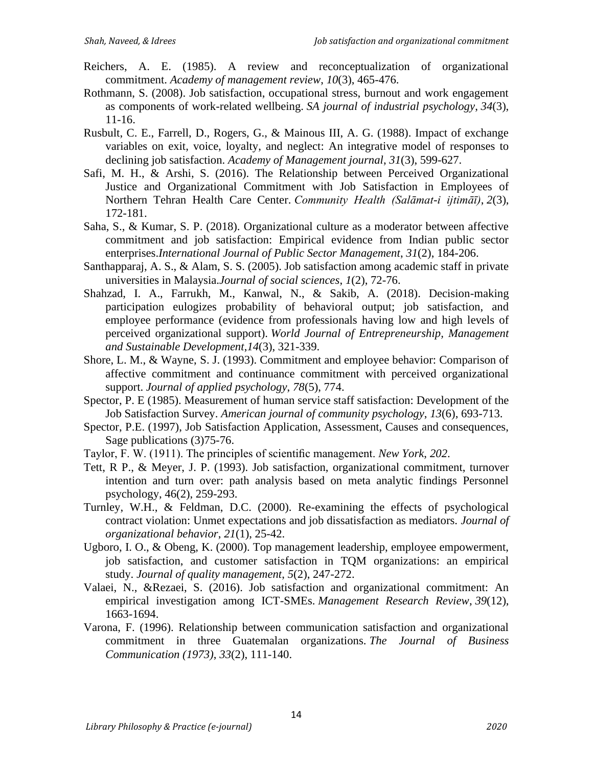- Reichers, A. E. (1985). A review and reconceptualization of organizational commitment. *Academy of management review*, *10*(3), 465-476.
- Rothmann, S. (2008). Job satisfaction, occupational stress, burnout and work engagement as components of work-related wellbeing. *SA journal of industrial psychology*, *34*(3), 11-16.
- Rusbult, C. E., Farrell, D., Rogers, G., & Mainous III, A. G. (1988). Impact of exchange variables on exit, voice, loyalty, and neglect: An integrative model of responses to declining job satisfaction. *Academy of Management journal*, *31*(3), 599-627.
- Safi, M. H., & Arshi, S. (2016). The Relationship between Perceived Organizational Justice and Organizational Commitment with Job Satisfaction in Employees of Northern Tehran Health Care Center. *Community Health (Salāmat-i ijtimāī)*, *2*(3), 172-181.
- Saha, S., & Kumar, S. P. (2018). Organizational culture as a moderator between affective commitment and job satisfaction: Empirical evidence from Indian public sector enterprises.*International Journal of Public Sector Management*, *31*(2), 184-206.
- Santhapparaj, A. S., & Alam, S. S. (2005). Job satisfaction among academic staff in private universities in Malaysia.*Journal of social sciences*, *1*(2), 72-76.
- Shahzad, I. A., Farrukh, M., Kanwal, N., & Sakib, A. (2018). Decision-making participation eulogizes probability of behavioral output; job satisfaction, and employee performance (evidence from professionals having low and high levels of perceived organizational support). *World Journal of Entrepreneurship, Management and Sustainable Development*,*14*(3), 321-339.
- Shore, L. M., & Wayne, S. J. (1993). Commitment and employee behavior: Comparison of affective commitment and continuance commitment with perceived organizational support. *Journal of applied psychology*, *78*(5), 774.
- Spector, P. E (1985). Measurement of human service staff satisfaction: Development of the Job Satisfaction Survey. *American journal of community psychology*, *13*(6), 693-713.
- Spector, P.E. (1997), Job Satisfaction Application, Assessment, Causes and consequences, Sage publications (3)75-76.
- Taylor, F. W. (1911). The principles of scientific management. *New York*, *202*.
- Tett, R P., & Meyer, J. P. (1993). Job satisfaction, organizational commitment, turnover intention and turn over: path analysis based on meta analytic findings Personnel psychology, 46(2), 259-293.
- Turnley, W.H., & Feldman, D.C. (2000). Re-examining the effects of psychological contract violation: Unmet expectations and job dissatisfaction as mediators. *Journal of organizational behavior*, *21*(1), 25-42.
- Ugboro, I. O., & Obeng, K. (2000). Top management leadership, employee empowerment, job satisfaction, and customer satisfaction in TQM organizations: an empirical study. *Journal of quality management*, *5*(2), 247-272.
- Valaei, N., &Rezaei, S. (2016). Job satisfaction and organizational commitment: An empirical investigation among ICT-SMEs. *Management Research Review*, *39*(12), 1663-1694.
- Varona, F. (1996). Relationship between communication satisfaction and organizational commitment in three Guatemalan organizations. *The Journal of Business Communication (1973)*, *33*(2), 111-140.